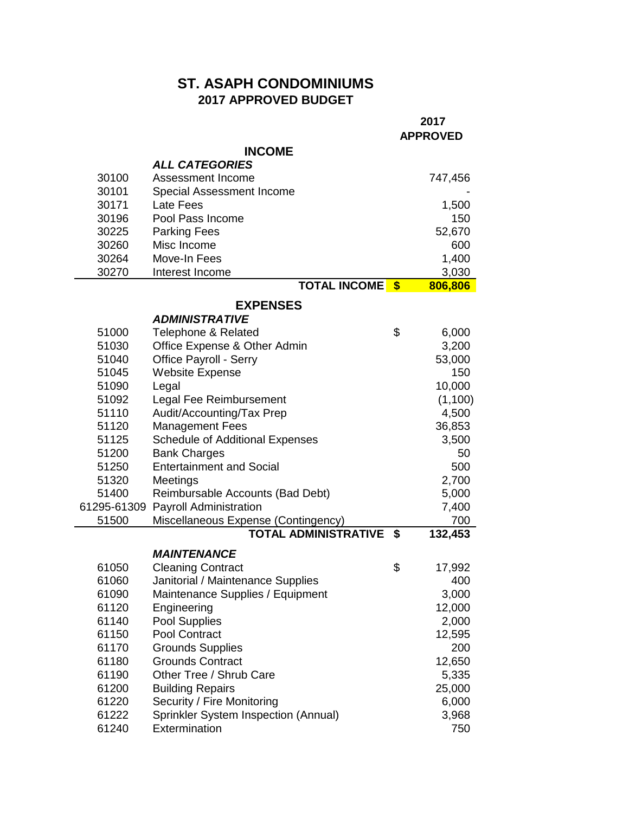## **ST. ASAPH CONDOMINIUMS 2017 APPROVED BUDGET**

|                |                                                      | 2017<br><b>APPROVED</b> |                  |
|----------------|------------------------------------------------------|-------------------------|------------------|
|                | <b>INCOME</b>                                        |                         |                  |
|                | <b>ALL CATEGORIES</b>                                |                         |                  |
| 30100          | Assessment Income                                    |                         | 747,456          |
| 30101          | Special Assessment Income                            |                         |                  |
| 30171          | Late Fees                                            |                         | 1,500            |
| 30196          | Pool Pass Income                                     |                         | 150              |
| 30225          | <b>Parking Fees</b>                                  |                         | 52,670           |
| 30260          | Misc Income                                          |                         | 600              |
| 30264          | Move-In Fees                                         |                         | 1,400            |
| 30270          | Interest Income<br><b>TOTAL INCOME</b>               | $\sqrt[3]{3}$           | 3,030<br>806,806 |
|                |                                                      |                         |                  |
|                | <b>EXPENSES</b>                                      |                         |                  |
|                | <i><b>ADMINISTRATIVE</b></i>                         |                         |                  |
| 51000          | Telephone & Related                                  | \$                      | 6,000            |
| 51030          | Office Expense & Other Admin                         |                         | 3,200            |
| 51040          | Office Payroll - Serry                               |                         | 53,000           |
| 51045          | <b>Website Expense</b>                               |                         | 150              |
| 51090          | Legal                                                |                         | 10,000           |
| 51092<br>51110 | Legal Fee Reimbursement<br>Audit/Accounting/Tax Prep |                         | (1,100)          |
| 51120          | <b>Management Fees</b>                               |                         | 4,500<br>36,853  |
| 51125          | <b>Schedule of Additional Expenses</b>               |                         | 3,500            |
| 51200          | <b>Bank Charges</b>                                  |                         | 50               |
| 51250          | <b>Entertainment and Social</b>                      |                         | 500              |
| 51320          | Meetings                                             |                         | 2,700            |
| 51400          | Reimbursable Accounts (Bad Debt)                     |                         | 5,000            |
| 61295-61309    | <b>Payroll Administration</b>                        |                         | 7,400            |
| 51500          | Miscellaneous Expense (Contingency)                  |                         | 700              |
|                | <b>TOTAL ADMINISTRATIVE</b>                          | \$                      | 132,453          |
|                | <b>MAINTENANCE</b>                                   |                         |                  |
| 61050          | <b>Cleaning Contract</b>                             | \$                      | 17,992           |
| 61060          | Janitorial / Maintenance Supplies                    |                         | 400              |
| 61090          | Maintenance Supplies / Equipment                     |                         | 3,000            |
| 61120          | Engineering                                          |                         | 12,000           |
| 61140          | Pool Supplies                                        |                         | 2,000            |
| 61150          | Pool Contract                                        |                         | 12,595           |
| 61170          | <b>Grounds Supplies</b>                              |                         | 200              |
| 61180          | <b>Grounds Contract</b>                              |                         | 12,650           |
| 61190          | Other Tree / Shrub Care                              |                         | 5,335            |
| 61200          | <b>Building Repairs</b>                              |                         | 25,000           |
| 61220          | Security / Fire Monitoring                           |                         | 6,000            |
| 61222          | Sprinkler System Inspection (Annual)                 |                         | 3,968            |
| 61240          | Extermination                                        |                         | 750              |